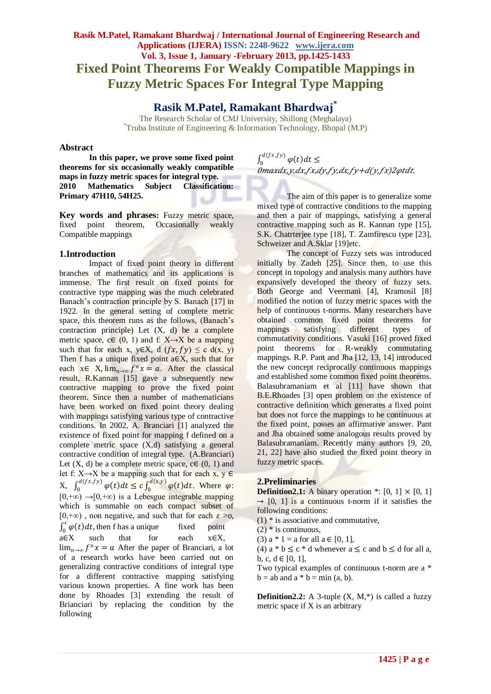# **Rasik M.Patel, Ramakant Bhardwaj / International Journal of Engineering Research and Applications (IJERA) ISSN: 2248-9622 www.ijera.com Vol. 3, Issue 1, January -February 2013, pp.1425-1433 Fixed Point Theorems For Weakly Compatible Mappings in Fuzzy Metric Spaces For Integral Type Mapping**

## **Rasik M.Patel, Ramakant Bhardwaj\***

The Research Scholar of CMJ University, Shillong (Meghalaya) \*Truba Institute of Engineering & Information Technology, Bhopal (M.P)

#### **Abstract**

**In this paper, we prove some fixed point theorems for six occasionally weakly compatible maps in fuzzy metric spaces for integral type. 2010 Mathematics Subject Classification: Primary 47H10, 54H25.**

**Key words and phrases:** Fuzzy metric space, fixed point theorem, Occasionally weakly Compatible mappings

#### **1.Introduction**

Impact of fixed point theory in different branches of mathematics and its applications is immense. The first result on fixed points for contractive type mapping was the much celebrated Banach's contraction principle by S. Banach [17] in 1922. In the general setting of complete metric space, this theorem runs as the follows, (Banach's contraction principle) Let (X, d) be a complete metric space, c∈  $(0, 1)$  and f: X→X be a mapping such that for each x, y∈X, d  $(fx, fy) \leq c d(x, y)$ Then f has a unique fixed point  $a \in X$ , such that for each  $x \in X$ ,  $\lim_{n \to \infty} f^n x = a$ . After the classical result, R.Kannan [15] gave a subsequently new contractive mapping to prove the fixed point theorem. Since then a number of mathematicians have been worked on fixed point theory dealing with mappings satisfying various type of contractive conditions. In 2002, A. Branciari [1] analyzed the existence of fixed point for mapping f defined on a complete metric space  $(X,d)$  satisfying a general contractive condition of integral type. (A.Branciari) Let  $(X, d)$  be a complete metric space,  $c \in (0, 1)$  and let f:  $X \rightarrow X$  be a mapping such that for each x,  $y \in$  $X, \int_0^{d(fx, fy)} \varphi(t) dt \leq c \int_0^{d(x,y)} \varphi(t) dt$ 0  $d(fx,fy)$  $\int_0^{\alpha_0} \sqrt{x} \, dx$   $\varphi(t) dt \leq c \int_0^{\alpha_0} \sqrt{x} \, dx$   $\varphi(t) dt$ . Where  $\varphi$ :  $[0,+\infty) \rightarrow [0,+\infty)$  is a Lebesgue integrable mapping which is summable on each compact subset of [0,+∞), non negative, and such that for each  $\varepsilon > 0$ ,  $\int_0^{\varepsilon} \varphi(t) dt$ ,  $\int_0^{\infty} \varphi(t) dt$ , then f has a unique fixed point  $a \in X$  such that for each  $x \in X$ ,  $\lim_{n\to\infty} f^n x = a$  After the paper of Branciari, a lot of a research works have been carried out on generalizing contractive conditions of integral type for a different contractive mapping satisfying various known properties. A fine work has been done by Rhoades [3] extending the result of Brianciari by replacing the condition by the following

 $\int_0^{d(fx, fy)} \varphi(t) dt \leq$  $\boldsymbol{0}$  $\overset{\sim}{0}$ maxdx,y,dx,fx,dy,fy,dx,fy+d(y,fx)2 $\varphi$ tdt.

The aim of this paper is to generalize some mixed type of contractive conditions to the mapping and then a pair of mappings, satisfying a general contractive mapping such as R. Kannan type [15], S.K. Chatrterjee type [18], T. Zamfirescu type [23], Schweizer and A.Sklar [19]etc.

The concept of Fuzzy sets was introduced initially by Zadeh [25]. Since then, to use this concept in topology and analysis many authors have expansively developed the theory of fuzzy sets. Both George and Veermani [4], Kramosil [8] modified the notion of fuzzy metric spaces with the help of continuous t-norms. Many researchers have obtained common fixed point theorems for<br>mappings satisfying different types of satisfying different types of commutativity conditions. Vasuki [16] proved fixed point theorems for R-weakly commutating mappings. R.P. Pant and Jha [12, 13, 14] introduced the new concept reciprocally continuous mappings and established some common fixed point theorems. Balasubramaniam et al [11] have shown that B.E.Rhoades [3] open problem on the existence of contractive definition which generates a fixed point but does not force the mappings to be continuous at the fixed point, posses an affirmative answer. Pant and Jha obtained some analogous results proved by Balasubramaniam. Recently many authors [9, 20, 21, 22] have also studied the fixed point theory in fuzzy metric spaces.

#### **2.Preliminaries**

**Definition2.1:** A binary operation  $*$ : [0, 1]  $\times$  [0, 1]  $\rightarrow$  [0, 1] is a continuous t-norm if it satisfies the following conditions:

 $(1)$  \* is associative and commutative,

 $(2)$  \* is continuous.

(3)  $a * 1 = a$  for all  $a \in [0, 1]$ ,

(4)  $a * b \leq c * d$  whenever  $a \leq c$  and  $b \leq d$  for all a, b, c,  $d \in [0, 1]$ ,

Two typical examples of continuous t-norm are a \*  $b = ab$  and  $a * b = min(a, b)$ .

**Definition2.2:** A 3-tuple  $(X, M,^*)$  is called a fuzzy metric space if X is an arbitrary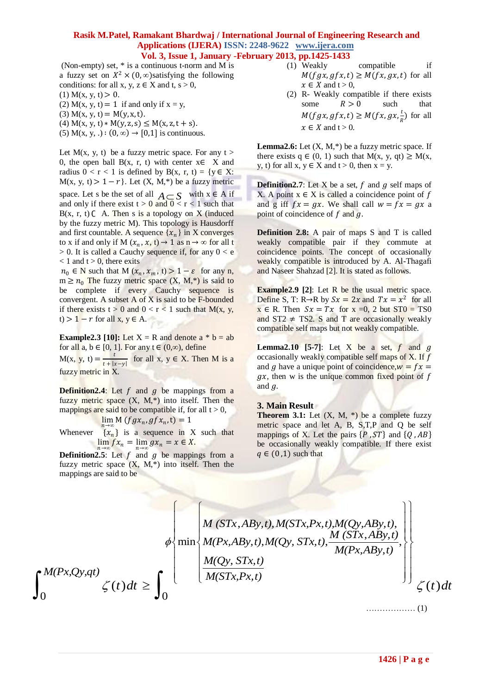(Non-empty) set, \* is a continuous t-norm and M is a fuzzy set on  $X^2 \times (0, \infty)$  satisfying the following conditions: for all x, y,  $z \in X$  and t,  $s > 0$ ,

(1)  $M(x, y, t) > 0$ .

(2) M(x, y, t) = 1 if and only if  $x = y$ ,

(3)  $M(x, y, t) = M(y, x, t)$ .

(4)  $M(x, y, t) * M(y, z, s) \leq M(x, z, t + s)$ .

(5) M(x, y, .) :  $(0, \infty) \rightarrow [0, 1]$  is continuous.

Let M(x, y, t) be a fuzzy metric space. For any  $t >$ 0, the open ball B(x, r, t) with center  $x \in X$  and radius  $0 < r < 1$  is defined by B(x, r, t) = {y  $\in$  X:  $M(x, y, t) > 1 - r$ . Let  $(X, M,*)$  be a fuzzy metric space. Let s be the set of all  $A \subseteq S$  with  $x \in A$  if and only if there exist  $t > 0$  and  $0 < r < 1$  such that  $B(x, r, t)$   $C$  A. Then s is a topology on X (induced by the fuzzy metric M). This topology is Hausdorff and first countable. A sequence  $\{x_n\}$  in X converges to x if and only if M  $(x_n, x, t) \rightarrow 1$  as  $n \rightarrow \infty$  for all t  $> 0$ . It is called a Cauchy sequence if, for any  $0 < e$  $< 1$  and t  $> 0$ , there exits

 $n_0 \in N$  such that M  $(x_n, x_m, t) > 1 - \varepsilon$  for any n,  $m \ge n_0$  The fuzzy metric space  $(X, M, *)$  is said to be complete if every Cauchy sequence is convergent. A subset A of X is said to be F-bounded if there exists  $t > 0$  and  $0 < r < 1$  such that  $M(x, y, z)$ t) >  $1 - r$  for all x,  $y \in A$ .

**Example2.3 [10]:** Let  $X = R$  and denote  $a * b = ab$ for all  $a, b \in [0, 1]$ . For any  $t \in (0, \infty)$ , define

 $M(x, y, t) = \frac{t}{\sqrt{1 + \frac{t}{t}}}$  $\frac{c}{t + |x - y|}$  for all x,  $y \in X$ . Then M is a fuzzy metric in X.

**Definition2.4:** Let  $f$  and  $g$  be mappings from a fuzzy metric space  $(X, M, *)$  into itself. Then the mappings are said to be compatible if, for all  $t > 0$ ,

 $\lim_{n\to\infty} M(fgx_n, gfx_n,t) = 1$ 

Whenever  $\{x_n\}$  is a sequence in X such that  $\lim_{n \to \infty} fx_n = \lim_{n \to \infty} gx_n = x \in X.$ 

**Definition2.5**: Let  $f$  and  $g$  be mappings from a fuzzy metric space  $(X, M, *)$  into itself. Then the mappings are said to be

- (1) Weakly compatible if  $M(fgx, gfx, t) \geq M(fx, gx, t)$  for all  $x \in X$  and  $t > 0$ ,
- (2) R- Weakly compatible if there exists some  $R > 0$  such that  $M(fgx, gfx, t) \geq M(fx, gx, \frac{t}{t})$  $\frac{c}{R}$ ) for all  $x \in X$  and  $t > 0$ .

**Lemma2.6:** Let  $(X, M,*)$  be a fuzzy metric space. If there exists  $q \in (0, 1)$  such that  $M(x, y, qt) \ge M(x,$ y, t) for all  $x, y \in X$  and  $t > 0$ , then  $x = y$ .

**Definition2.7**: Let X be a set,  $f$  and  $g$  self maps of X. A point  $x \in X$  is called a coincidence point of f and g iff  $fx = gx$ . We shall call  $w = fx = gx$  a point of coincidence of  $f$  and  $g$ .

**Definition 2.8:** A pair of maps S and T is called weakly compatible pair if they commute at coincidence points. The concept of occasionally weakly compatible is introduced by A. Al-Thagafi and Naseer Shahzad [2]. It is stated as follows.

**Example2.9** [2]: Let R be the usual metric space. Define S, T: R→R by  $Sx = 2x$  and  $Tx = x^2$  for all  $x \in R$ . Then  $Sx = Tx$  for  $x = 0$ , 2 but  $ST0 = TS0$ and  $ST2 \neq TS2$ . S and T are occasionally weakly compatible self maps but not weakly compatible.

**Lemma2.10** [5-7]: Let X be a set,  $f$  and  $g$ occasionally weakly compatible self maps of  $X$ . If  $f$ and *g* have a unique point of coincidence,  $w = fx =$  $gx$ , then w is the unique common fixed point of f and  $q$ .

#### **3. Main Result**

**Theorem 3.1:** Let  $(X, M, *)$  be a complete fuzzy metric space and let A, B, S,T,P and Q be self mappings of X. Let the pairs  $\{P, ST\}$  and  $\{Q, AB\}$ be occasionally weakly compatible. If there exist  $q \in (0,1)$  such that

$$
\int_{0}^{M(Px,Qy,qt)} \zeta(t)dt \geq \int_{0}^{M(STx, ABy, t), M(STx, Px, t), M(Qy, ABy, t)} \left\{\begin{array}{l}\frac{M(STx, ABy, t), M(STx, Px, t), M(Qy, ABy, t)}{M(Px, ABy, t)}, \\ \frac{M(Qy, STx, t)}{M(STx, Px, t)}\end{array}\right\}\n\leq (t)dt
$$
\n
$$
(1)
$$

……………… (1)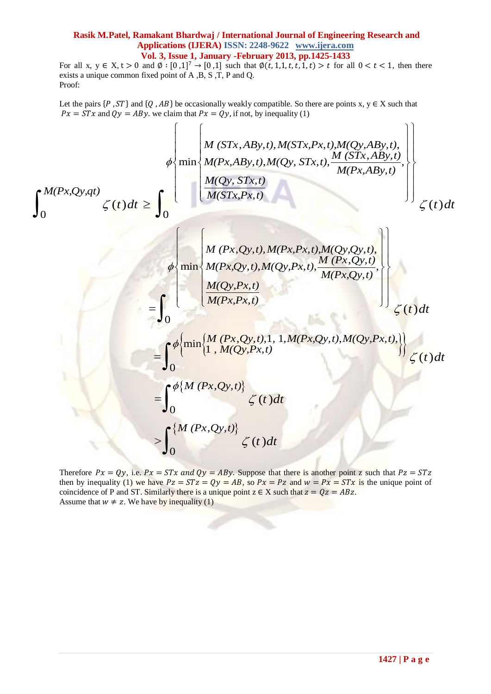For all x,  $y \in X, t > 0$  and  $\emptyset : [0,1]^7 \rightarrow [0,1]$  such that  $\emptyset(t,1,1,t,t,1,t) > t$  for all  $0 < t < 1$ , then there exists a unique common fixed point of A ,B, S ,T, P and Q. Proof:

 $Px = STx$  and  $Qy = ABy$ , we claim that  $Px = Qy$ , if not, by inequality (1)

Let the pairs 
$$
\{P, ST\}
$$
 and  $\{Q, AB\}$  be occasionally weakly compatible. So there are points x, y \in X such that  
\n $Px = STx$  and  $Qy = ABy$ , we claim that  $Px = Qy$ , if not, by inequality (1)  
\n
$$
\phi \left\{ \min \left\{ \frac{M \left(STx, ABy, t\right), M\left(STx, Px, t\right), M\left(Qy, ABy, t\right), \dots, M\left(STx, ABy, t\right)}{M\left(STx, ABy, t\right)}, \dots, M\left(STx, ABy, t\right)} \right\} \right\}
$$
\n
$$
\phi \left\{ \min \left\{ \frac{M \left(Qy, STx, t\right)}{M\left(STx, Px, t\right)} \right\} \right\}
$$
\n
$$
\phi \left\{ \min \left\{ \frac{M \left(Px, Qy, t\right), M\left(Px, Px, t\right), M\left(Qy, Qy, t\right), \dots, M\left(Px, Qy, t\right)}{M\left(Px, Qy, t\right)}, \dots, M\left(Px, Qy, t\right)} \right\} \right\}
$$
\n
$$
= \int_{0}^{\phi} \left\{ \min \left\{ \frac{M \left(Px, Qy, t\right), 1, 1, M\left(Px, Qy, t\right), M\left(Qy, Px, t\right), \dots, M\left(Qy, Px, tx\right), \dots, M\left(Qy, Px, tx\right), \dots, M\left(Qy, Px, tx\right) \right\} \right\}
$$
\n
$$
= \int_{0}^{\phi} \left\{ \min \left\{ \frac{M \left(Px, Qy, t\right), 1, 1, M\left(Px, Qy, t\right), M\left(Qy, Px, t\right), \dots, M\left(Qy, Px, tx\right), \dots, M\left(Qy, Px, tx\right), \dots, M\left(Qy, Px, tx\right), \dots, M\left(Qy, Px, tx\right) \right\} \right\}
$$
\n
$$
= \int_{0}^{\phi} \left\{ \frac{M \left(Px, Qy, t\right)}{M \left(Px, Qy, t\right)} \right\}
$$
\n
$$
\left\{ \int_{0}^{x} \left\{ \frac{M \left(Px, Qy, t\right)}{M \left(Px, Qy, t\right)} \right\}
$$

Therefore  $Px = Qy$ , i.e.  $Px = STx$  and  $Qy = ABy$ . Suppose that there is another point z such that  $Pz = STz$ then by inequality (1) we have  $Pz = STz = Qy = AB$ , so  $Px = Pz$  and  $w = Px = STx$  is the unique point of coincidence of P and ST. Similarly there is a unique point  $z \in X$  such that  $z = 0z = ABz$ . Assume that  $w \neq z$ . We have by inequality (1)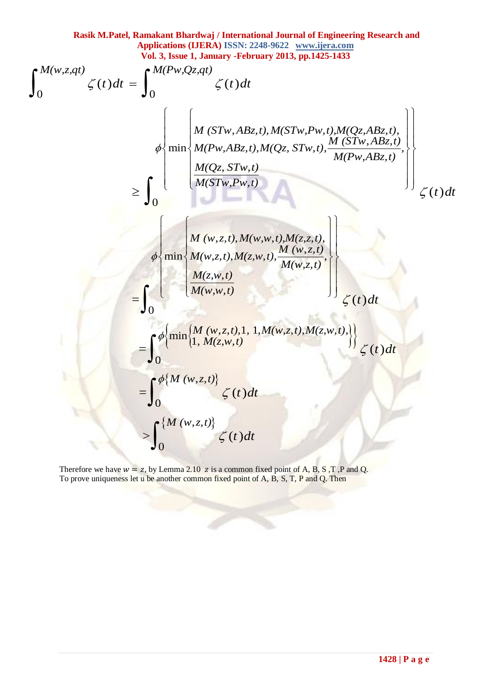Rasik M.Patel, Ramakant Bhardwaj / International Journal of Engineering Research and Applications (IJERA) ISSN: 2248-9622 www.ijera.com

\nVol. 3, tsec, J, amuary -Fehruary 2013, pp.1425-1433

\n
$$
\int_{0}^{M(w,z,qt)} \zeta(t)dt = \int_{0}^{M(Pw,Qz,qt)} \zeta(t)dt
$$
\n
$$
\begin{aligned}\n&\approx \left[\begin{array}{c} M(STw, ABz, t), M(STw, Pw, t), M(Qz, ABz, t), \\ M(Tw, ABz, t), M(STw, Pw, t), M(Qz, ABz, t), \\ M(Tw, ABz, t), M(STw, Pw, t), M(STw, ABz, t), \\ M(STw, Pw, t)\end{array}\right]\n\\
&\approx \left[\begin{array}{c} M(w, z, t), M(w, w, t), M(z, z, t), \\ M(w, z, t), M(w, w, t), M(w, z, t), \\ M(w, z, t), M(w, w, t), M(w, z, t)\end{array}\right]\n\\
&= \int_{0}^{M} \left[\begin{array}{c} M(w, z, t), M(w, w, t), M(z, w, t), \\ M(w, w, t)\end{array}\right] \left[\begin{array}{c} M(w, z, t), M(w, z, t), M(z, w, t), \\ M(w, z, t), M(z, w, t), \\ M(w, w, t)\end{array}\right]\n\\
&= \int_{0}^{\phi\{min\{M(w, z, t)\}} \zeta(t)dt \\
&\approx \int_{0}^{M(w, z, t)} \zeta(t)dt\n\end{array}
$$

Therefore we have  $w = z$ , by Lemma 2.10 z is a common fixed point of A, B, S, T, P and Q. To prove uniqueness let u be another common fixed point of A, B, S, T, P and Q. Then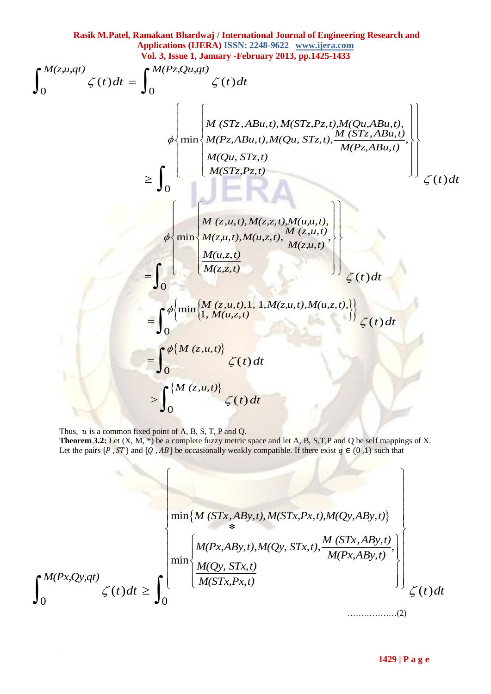Rasik M.Patel, Ramakant Bhardwaj / International Journal of Engineering Research and  
\n**Applications (JERA)** ISSN: 2248-9622 <www.ijera.com>  
\nVol. 3, Issue 1, January - February 2013, pp.1425-1433

\n
$$
\int_0^{M(z,u,qt)} \zeta(t)dt = \int_0^{M(Pz,Qu,qt)} \zeta(t)dt
$$
\n
$$
\phi \left\{\n\begin{array}{l}\n\min \left\{\n\begin{aligned}\nM(STz, ABu, t), M(STz, Pz, t), MQu, ABu, t), \\
M(Pz, ABu, t), M(STz, Pz, t), MQu, ABu, t), \\
M(Qu, STz, t), \frac{M(STz, ABu, t)}{M(Pz, ABu, t)}.\n\end{aligned}\n\right\} \right\}\n\ge \int_0^{M(Qu, STz, t)} \left\{\n\begin{aligned}\nM(z, u, t), M(x, Sz, t), M(u, u, t), \\
M(x, u, t), M(x, z, t), M(u, u, t), \\
M(z, u, t), M(u, z, t), \frac{M(z, u, t)}{M(z, u, t)}.\n\end{aligned}\n\right\}\n\le \int_0^{M(\text{min}\left\{\n\begin{aligned}\nM(z, u, t), M(z, s, t), M(u, z, t), \\
M(u, z, t)\n\end{aligned}\n\right\} \right\}\n\le \int_0^{M(\text{min}\left\{\n\begin{aligned}\nM(z, u, t), 1, M(z, u, t), M(u, z, t), \\
M(u, z, t)\n\end{aligned}\n\right\}\n\le \int_0^{M(M(z, u, t))} \zeta(t)dt\n\end{aligned}
$$
\n
$$
\Rightarrow \int_0^{M(M(z, u, t))} \zeta(t)dt
$$

Thus,  $u$  is a common fixed point of A, B, S, T, P and Q. **Theorem 3.2:** Let  $(X, M, *)$  be a complete fuzzy metric space and let A, B, S, T, P and Q be self mappings of X. Let the pairs  $\{P, ST\}$  and  $\{Q, AB\}$  be occasionally weakly compatible. If there exist  $q \in (0,1)$  such that

$$
\lim_{t \to 0} \left\{ \begin{aligned} & \min \{ M \left( STx, ABy, t \right), M(STx, Px, t \right), M(Qy, ABy, t) \} \\ & \ast \\ & \min \left\{ \begin{aligned} & M(Px, ABy, t), M(Qy, STx, t), \frac{M \left( STx, ABy, t \right)}{M(Px, ABy, t)} \right\} \\ & \min \left\{ \begin{aligned} & M(Px, ABy, t), M(Qy, STx, t), \frac{M \left( STx, ABy, t \right)}{M(Px, ABy, t)} \right\} \\ & \times \\ & \left( t \right) dt \end{aligned} \right\} \end{aligned} \tag{2}
$$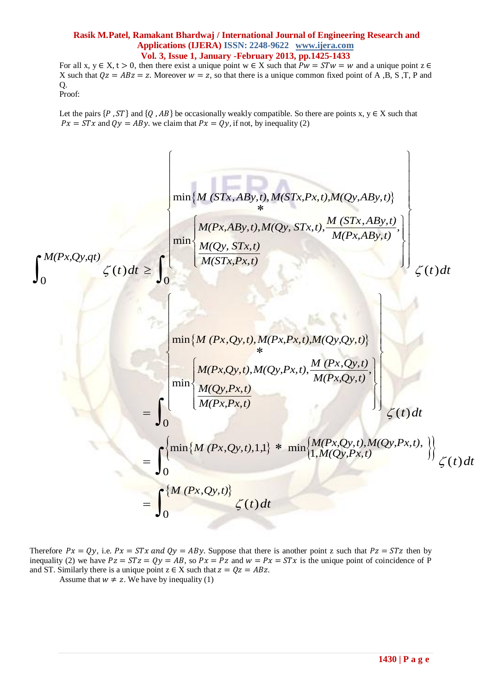For all x,  $y \in X$ ,  $t > 0$ , then there exist a unique point  $w \in X$  such that  $Pw = STw = w$  and a unique point  $z \in Y$ X such that  $Qz = ABz = z$ . Moreover  $w = z$ , so that there is a unique common fixed point of A, B, S, T, P and Q. Proof:

Let the pairs  $\{P, ST\}$  and  $\{O, AB\}$  be occasionally weakly compatible. So there are points x, y  $\in$  X such that  $Px = \overline{STx}$  and  $Qy = ABy$ , we claim that  $Px = Qy$ , if not, by inequality (2)



Therefore  $Px = Qy$ , i.e.  $Px = STx$  and  $Qy = ABy$ . Suppose that there is another point z such that  $Pz = STz$  then by inequality (2) we have  $Pz = STz = Qy = AB$ , so  $Px = Pz$  and  $w = Px = STx$  is the unique point of coincidence of P and ST. Similarly there is a unique point  $z \in X$  such that  $z = Qz = ABz$ .

Assume that  $w \neq z$ . We have by inequality (1)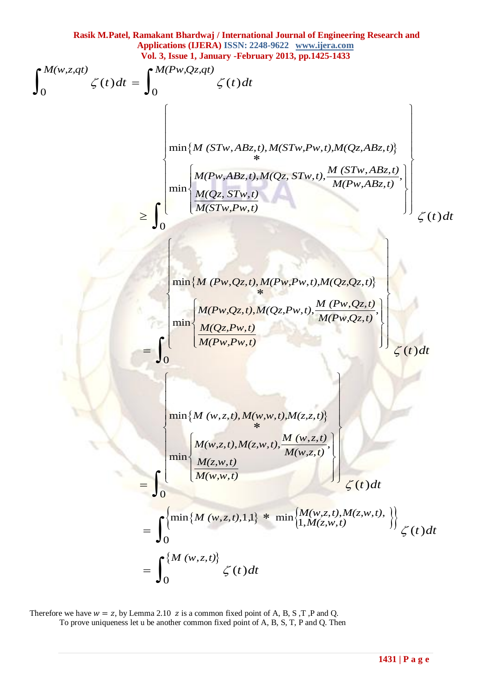Rasik M.Patel, Ramakant Bhardvaj / International Journal of Engineering Research and  
\naplications (JERA) ISSN: 2238-9622 www.iiern.com  
\nVol. 3, Issee 1, January - February 2013, pp.1425-1433  
\n
$$
\int_0^M (w, z, qt) \zeta(t) dt = \int_0^{M(Pw, Qz, qt)} \zeta(t) dt
$$
\n
$$
\lim [M (STw, ABz, t), M(STw, Pw, t), M(Qz, ABz, t)]
$$
\n
$$
\ge \int_0^{\min \{M (STw, ABz, t), M(STw, Pw, t), M(Qz, ABz, t)\}} \left| \frac{M(Qz, STw, t)}{M(Tw, Pw, t)} \right|
$$
\n
$$
\le \int_0^{\min \{M (Qw, qz, t), M(Qz, Pw, t), M(Qz, Qz, t)\}} \left| \frac{M(Pw, Qz, t), M(Pw, Pw, t), M(Qz, Qz, t)}{M(Pw, Pw, t)} \right|
$$
\n
$$
\le (t) dt
$$
\n
$$
\lim [M (Pw, Qz, t), M(Qz, Pw, t), \frac{M (Pw, Qz, t)}{M(Pw, Pw, t)}] \le (t) dt
$$
\n
$$
\lim [M (w, z, t), M(zw, t), M(zz, t)]
$$
\n
$$
= \int_0^{\min \{M (w, z, t), M(zw, t), M(w, z, t), M(zw, t), M(zw, t), M(zw, t), M(zw, t), t\})} \zeta(t) dt
$$
\n
$$
= \int_0^{\min \{M (w, z, t), 1, 1\} } \zeta(t) dt
$$
\n
$$
= \int_0^{\{M (w, z, t)\}} \zeta(t) dt
$$

Therefore we have  $w = z$ , by Lemma 2.10  $z$  is a common fixed point of A, B, S, T, P and Q. To prove uniqueness let u be another common fixed point of A, B, S, T, P and Q. Then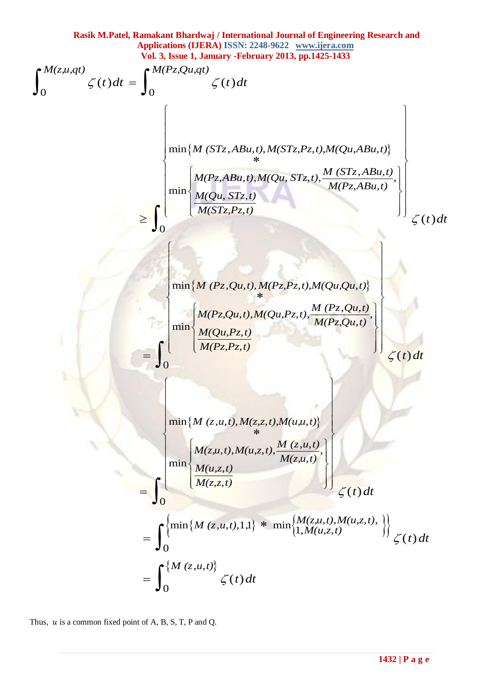Rasik M.Patel, Ramakant Bhardwaj / International Journal of Engineering Research and  
\nAppilactions (LERA) ISSN) 1585: 2248-9622 www.ijers.com  
\n
$$
\int_{0}^{M(z,u,qt)} \zeta(t)dt = \int_{0}^{M(Pz, Qu,qt)} \zeta(t)dt
$$
\n
$$
\begin{bmatrix}\n\min\{M(STz, ABu, t), M(STz, Pz, t), M(Qu, ABu, t)\} \\
\min\{M(STz, ABu, t), M(STz, Pz, t), M(Qu, ABu, t)\} \\
\min\{M(STz, ABu, t), M(STz, Pz, t), M(Qu, ABu, t)\} \\
\min\{M(STz, PBu, t), M(QL, SZz, t), M(Qu, Qu, Bu, t)\} \\
\min\{M(Pz, Qu, t), M(Qu, Pz, t), M(Qu, Qu, Qu, t)\} \\
\min\{M(Pz, Qu, t), M(Qu, Pz, t), M(Qu, Qu, Du, t)\} \\
\min\{M(Pz, Qu, t), M(Qu, Pz, t), M(u, u, t)\} \\
\min\{M(z, u, t), M(z, z, t), M(u, u, t)\} \\
\min\{M(z, u, t), M(u, z, t), M(u, u, t)\} \\
\min\{M(z, u, t), M(u, z, t), M(z, u, t)\} \\
\min\{M(z, u, t), M(u, z, t), M(z, u, t)\} \\
\min\{M(z, u, t), M(u, z, t)\} \\
\min\{M(z, u, t), M(u, z, t)\} \\
\min\{M(z, u, t), M(u, z, t)\} \\
\xi(t) dt \\
= \int_{0}^{\{\inf\{M(z, u, t)\}} \zeta(t) dt\n\end{bmatrix}
$$

Thus,  $u$  is a common fixed point of A, B, S, T, P and Q.